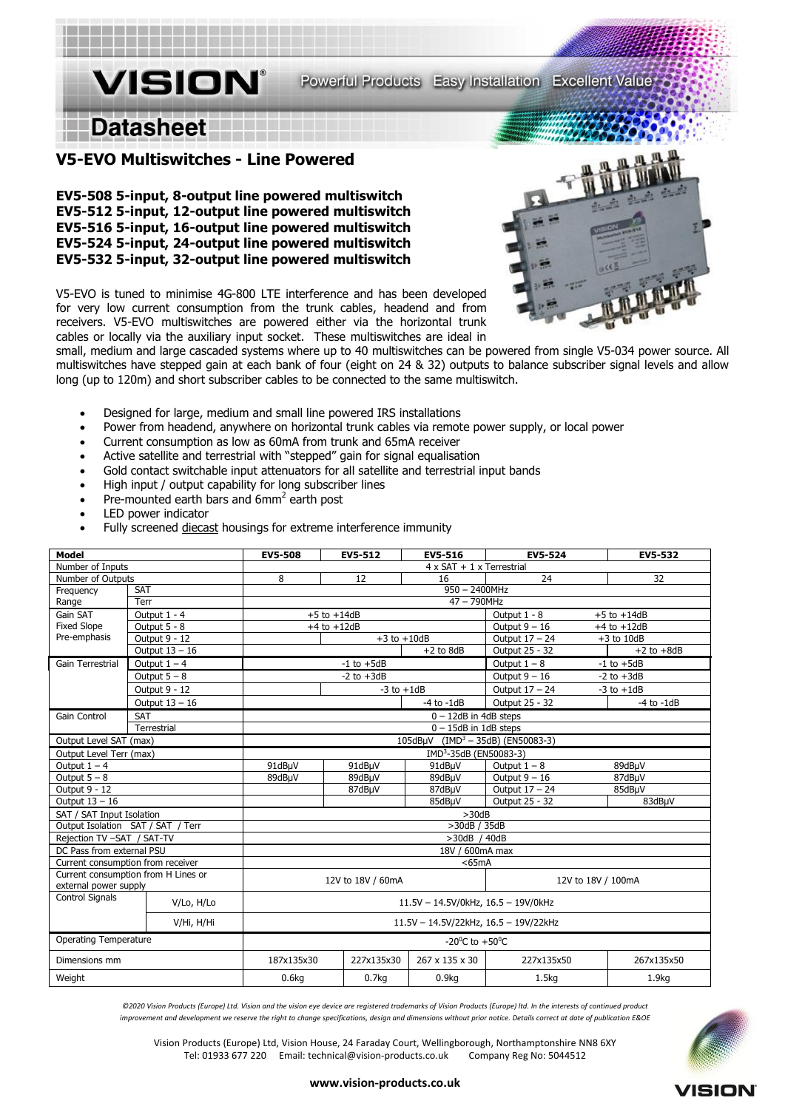# **Datasheet**

**VISION** 

### **V5-EVO Multiswitches - Line Powered**

**EV5-508 5-input, 8-output line powered multiswitch EV5-512 5-input, 12-output line powered multiswitch EV5-516 5-input, 16-output line powered multiswitch EV5-524 5-input, 24-output line powered multiswitch EV5-532 5-input, 32-output line powered multiswitch**

V5-EVO is tuned to minimise 4G-800 LTE interference and has been developed for very low current consumption from the trunk cables, headend and from receivers. V5-EVO multiswitches are powered either via the horizontal trunk cables or locally via the auxiliary input socket. These multiswitches are ideal in



small, medium and large cascaded systems where up to 40 multiswitches can be powered from single V5-034 power source. All multiswitches have stepped gain at each bank of four (eight on 24 & 32) outputs to balance subscriber signal levels and allow long (up to 120m) and short subscriber cables to be connected to the same multiswitch.

- Designed for large, medium and small line powered IRS installations
- Power from headend, anywhere on horizontal trunk cables via remote power supply, or local power
- Current consumption as low as 60mA from trunk and 65mA receiver
- Active satellite and terrestrial with "stepped" gain for signal equalisation
- Gold contact switchable input attenuators for all satellite and terrestrial input bands
- High input / output capability for long subscriber lines
- Pre-mounted earth bars and  $6mm^2$  earth post
- LED power indicator
- Fully screened diecast housings for extreme interference immunity

| <b>Model</b>                                                 |                  | <b>EV5-508</b>                                | EV5-512           | EV5-516           | EV5-524                            | EV5-532                         |  |
|--------------------------------------------------------------|------------------|-----------------------------------------------|-------------------|-------------------|------------------------------------|---------------------------------|--|
| Number of Inputs                                             |                  | $4 \times SAT + 1 \times Terrestrial$         |                   |                   |                                    |                                 |  |
| Number of Outputs                                            |                  | 8                                             | 12                | 16                | 24                                 | 32                              |  |
| Frequency                                                    | <b>SAT</b>       | $950 - 2400$ MHz                              |                   |                   |                                    |                                 |  |
| Range                                                        | Terr             |                                               |                   | 47 - 790MHz       |                                    |                                 |  |
| Gain SAT                                                     | Output 1 - 4     |                                               | $+5$ to $+14dB$   |                   |                                    | Output 1 - 8<br>$+5$ to $+14dB$ |  |
| <b>Fixed Slope</b>                                           | Output 5 - 8     | $+4$ to $+12dB$                               |                   |                   | Output $9 - 16$<br>$+4$ to $+12dB$ |                                 |  |
| Pre-emphasis                                                 | Output 9 - 12    | $+3$ to $+10$ dB                              |                   |                   | Output 17 - 24<br>$+3$ to $10dB$   |                                 |  |
|                                                              | Output $13 - 16$ |                                               |                   | $+2$ to 8dB       | Output 25 - 32                     | $+2$ to $+8dB$                  |  |
| Gain Terrestrial                                             | Output $1 - 4$   | $-1$ to $+5dB$                                |                   |                   | Output $1 - 8$<br>$-1$ to $+5dB$   |                                 |  |
|                                                              | Output $5 - 8$   | $-2$ to $+3dB$                                |                   |                   | Output $9 - 16$<br>$-2$ to $+3dB$  |                                 |  |
|                                                              | Output 9 - 12    | $-3$ to $+1dB$                                |                   |                   | Output 17 - 24<br>$-3$ to $+1dB$   |                                 |  |
|                                                              | Output $13 - 16$ |                                               |                   | $-4$ to $-1dB$    | Output 25 - 32                     | $-4$ to $-1dB$                  |  |
| <b>Gain Control</b>                                          | <b>SAT</b>       | $0 - 12dB$ in 4dB steps                       |                   |                   |                                    |                                 |  |
| Terrestrial                                                  |                  | $0 - 15dB$ in 1dB steps                       |                   |                   |                                    |                                 |  |
| Output Level SAT (max)                                       |                  | 105dBµV (IMD <sup>3</sup> - 35dB) (EN50083-3) |                   |                   |                                    |                                 |  |
| Output Level Terr (max)                                      |                  | IMD <sup>3</sup> -35dB (EN50083-3)            |                   |                   |                                    |                                 |  |
| Output $1 - 4$                                               |                  | 91dBµV                                        | 91dBµV            | 91dBµV            | Output $1 - 8$                     | 89dBµV                          |  |
| Output $5 - 8$                                               |                  | 89dBuV                                        | 89dBuV            | 89dBµV            | Output $9 - 16$<br>87dBµV          |                                 |  |
| Output 9 - 12                                                |                  |                                               | 87dBµV            | 87dBµV            | Output 17 - 24                     | 85dBuV                          |  |
| Output $13 - 16$                                             |                  |                                               |                   | 85dBuV            | Output 25 - 32                     | 83dBµV                          |  |
| SAT / SAT Input Isolation                                    |                  | >30dB                                         |                   |                   |                                    |                                 |  |
| Output Isolation SAT / SAT / Terr                            |                  | >30dB / 35dB                                  |                   |                   |                                    |                                 |  |
| Rejection TV-SAT / SAT-TV                                    |                  | >30dB / 40dB                                  |                   |                   |                                    |                                 |  |
| DC Pass from external PSU                                    |                  | 18V / 600mA max                               |                   |                   |                                    |                                 |  |
| Current consumption from receiver                            |                  | $<$ 65mA                                      |                   |                   |                                    |                                 |  |
| Current consumption from H Lines or<br>external power supply |                  | 12V to 18V / 60mA<br>12V to 18V / 100mA       |                   |                   |                                    |                                 |  |
| <b>Control Signals</b>                                       | V/Lo, H/Lo       | 11.5V - 14.5V/0kHz, 16.5 - 19V/0kHz           |                   |                   |                                    |                                 |  |
|                                                              | V/Hi, H/Hi       | 11.5V - 14.5V/22kHz, 16.5 - 19V/22kHz         |                   |                   |                                    |                                 |  |
| Operating Temperature                                        |                  | -20 <sup>0</sup> C to +50 <sup>0</sup> C      |                   |                   |                                    |                                 |  |
| Dimensions mm                                                |                  | 187x135x30                                    | 227x135x30        | 267 x 135 x 30    | 227x135x50                         | 267x135x50                      |  |
| Weight                                                       |                  | 0.6 <sub>kq</sub>                             | 0.7 <sub>kq</sub> | 0.9 <sub>kq</sub> | 1.5 <sub>kq</sub>                  | 1.9 <sub>kq</sub>               |  |

*©2020 Vision Products (Europe) Ltd. Vision and the vision eye device are registered trademarks of Vision Products (Europe) ltd. In the interests of continued product improvement and development we reserve the right to change specifications, design and dimensions without prior notice. Details correct at date of publication E&OE*

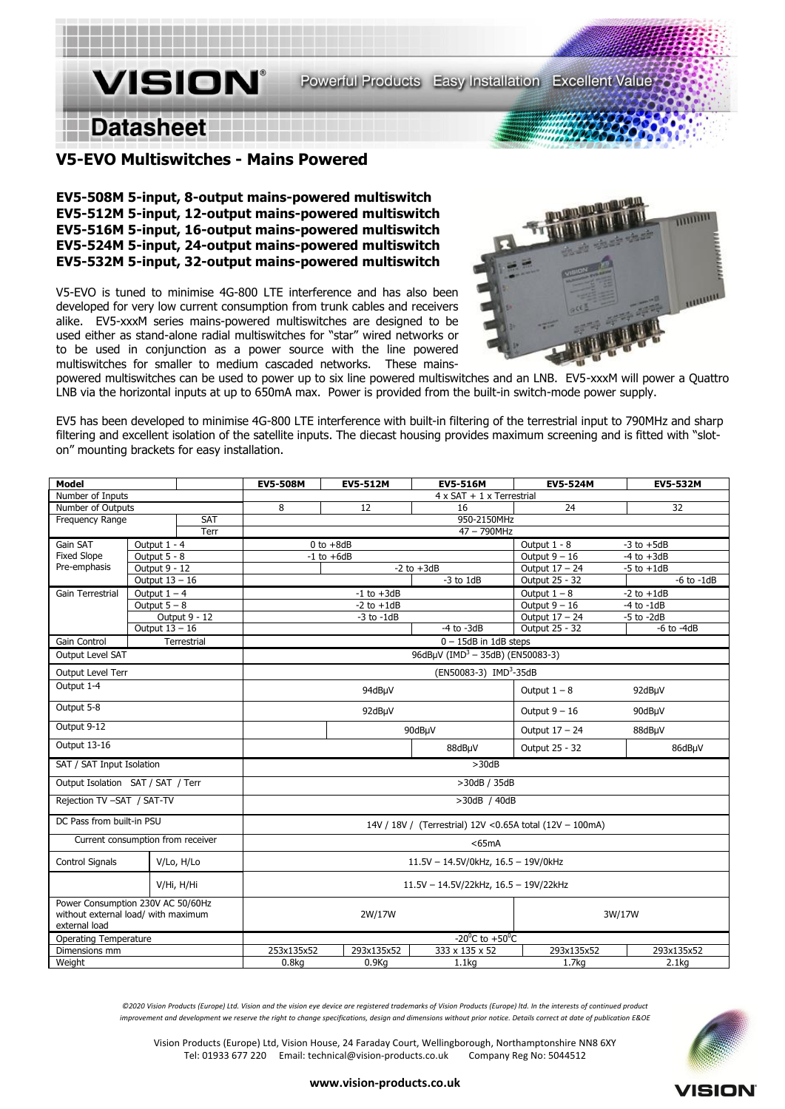# **Datasheet**

**VISION®** 

### **V5-EVO Multiswitches - Mains Powered**

**EV5-508M 5-input, 8-output mains-powered multiswitch EV5-512M 5-input, 12-output mains-powered multiswitch EV5-516M 5-input, 16-output mains-powered multiswitch EV5-524M 5-input, 24-output mains-powered multiswitch EV5-532M 5-input, 32-output mains-powered multiswitch** 

V5-EVO is tuned to minimise 4G-800 LTE interference and has also been developed for very low current consumption from trunk cables and receivers alike. EV5-xxxM series mains-powered multiswitches are designed to be used either as stand-alone radial multiswitches for "star" wired networks or to be used in conjunction as a power source with the line powered multiswitches for smaller to medium cascaded networks. These mains-



powered multiswitches can be used to power up to six line powered multiswitches and an LNB. EV5-xxxM will power a Quattro LNB via the horizontal inputs at up to 650mA max. Power is provided from the built-in switch-mode power supply.

EV5 has been developed to minimise 4G-800 LTE interference with built-in filtering of the terrestrial input to 790MHz and sharp filtering and excellent isolation of the satellite inputs. The diecast housing provides maximum screening and is fitted with "sloton" mounting brackets for easy installation.

| <b>Model</b>                                                                              |                  |                                                           | <b>EV5-508M</b>                              | <b>EV5-512M</b> | <b>EV5-516M</b>          | <b>EV5-524M</b>                   | <b>EV5-532M</b>   |  |
|-------------------------------------------------------------------------------------------|------------------|-----------------------------------------------------------|----------------------------------------------|-----------------|--------------------------|-----------------------------------|-------------------|--|
| Number of Inputs                                                                          |                  | $4 \times SAT + 1 \times Terrestrial$                     |                                              |                 |                          |                                   |                   |  |
| Number of Outputs                                                                         |                  | 8                                                         | 12                                           | 16              | 24                       | 32                                |                   |  |
| Frequency Range                                                                           |                  | <b>SAT</b>                                                | 950-2150MHz                                  |                 |                          |                                   |                   |  |
|                                                                                           |                  | Terr                                                      | $47 - 790$ MHz                               |                 |                          |                                   |                   |  |
| Gain SAT                                                                                  | Output 1 - 4     |                                                           |                                              | $0$ to $+8dB$   |                          | Output 1 - 8<br>$-3$ to $+5dB$    |                   |  |
| <b>Fixed Slope</b>                                                                        | Output 5 - 8     |                                                           |                                              | $-1$ to $+6dB$  |                          | Output $9 - 16$                   | $-4$ to $+3dB$    |  |
| Pre-emphasis                                                                              | Output 9 - 12    |                                                           |                                              |                 | $-2$ to $+3dB$           | Output 17 - 24                    | $-5$ to $+1dB$    |  |
|                                                                                           | Output $13 - 16$ |                                                           |                                              |                 | $-3$ to $1dB$            | Output 25 - 32                    | $-6$ to $-1dB$    |  |
| Gain Terrestrial                                                                          | Output $1 - 4$   |                                                           |                                              | $-1$ to $+3dB$  |                          | Output $1 - 8$                    | $-2$ to $+1dB$    |  |
|                                                                                           | Output $5 - 8$   |                                                           |                                              | $-2$ to $+1dB$  |                          | Output $9 - 16$<br>$-4$ to $-1dB$ |                   |  |
|                                                                                           |                  | Output 9 - 12                                             |                                              | $-3$ to $-1dB$  |                          | Output 17 - 24                    | $-5$ to $-2dB$    |  |
|                                                                                           | Output $13 - 16$ |                                                           |                                              |                 | $-4$ to $-3dB$           | Output 25 - 32                    | $-6$ to $-4dB$    |  |
| Gain Control                                                                              |                  | Terrestrial                                               |                                              |                 | $0 - 15$ dB in 1dB steps |                                   |                   |  |
| Output Level SAT                                                                          |                  |                                                           | 96dBµV (IMD <sup>3</sup> - 35dB) (EN50083-3) |                 |                          |                                   |                   |  |
| Output Level Terr                                                                         |                  |                                                           | (EN50083-3) IMD <sup>3</sup> -35dB           |                 |                          |                                   |                   |  |
| Output 1-4                                                                                |                  | 94dBµV                                                    |                                              | Output $1 - 8$  | 92dBµV                   |                                   |                   |  |
| Output 5-8                                                                                |                  | 92dBµV                                                    |                                              | Output $9 - 16$ | 90dBµV                   |                                   |                   |  |
| Output 9-12                                                                               |                  | 90dBµV                                                    |                                              | Output 17 - 24  | 88dBµV                   |                                   |                   |  |
| Output 13-16                                                                              |                  |                                                           |                                              | 88dBµV          | Output 25 - 32           | 86dBµV                            |                   |  |
| SAT / SAT Input Isolation                                                                 |                  | >30dB                                                     |                                              |                 |                          |                                   |                   |  |
| Output Isolation SAT / SAT / Terr                                                         |                  | >30dB / 35dB                                              |                                              |                 |                          |                                   |                   |  |
| Rejection TV -SAT / SAT-TV                                                                |                  | >30dB / 40dB                                              |                                              |                 |                          |                                   |                   |  |
| DC Pass from built-in PSU                                                                 |                  | 14V / 18V / (Terrestrial) 12V < 0.65A total (12V - 100mA) |                                              |                 |                          |                                   |                   |  |
| Current consumption from receiver                                                         |                  |                                                           | $<$ 65 $mA$                                  |                 |                          |                                   |                   |  |
| Control Signals                                                                           |                  | V/Lo, H/Lo                                                | 11.5V - 14.5V/0kHz, 16.5 - 19V/0kHz          |                 |                          |                                   |                   |  |
|                                                                                           |                  | V/Hi, H/Hi                                                | 11.5V - 14.5V/22kHz, 16.5 - 19V/22kHz        |                 |                          |                                   |                   |  |
| Power Consumption 230V AC 50/60Hz<br>without external load/ with maximum<br>external load |                  | 2W/17W                                                    |                                              | 3W/17W          |                          |                                   |                   |  |
| <b>Operating Temperature</b>                                                              |                  | $-20^{\circ}$ C to $+50^{\circ}$ C                        |                                              |                 |                          |                                   |                   |  |
| Dimensions mm                                                                             |                  |                                                           | 253x135x52                                   | 293x135x52      | 333 x 135 x 52           | 293x135x52                        | 293x135x52        |  |
| Weight                                                                                    |                  |                                                           | 0.8 <sub>kq</sub>                            | 0.9Kq           | 1.1 <sub>kq</sub>        | 1.7 <sub>kq</sub>                 | 2.1 <sub>kq</sub> |  |

*©2020 Vision Products (Europe) Ltd. Vision and the vision eye device are registered trademarks of Vision Products (Europe) ltd. In the interests of continued product improvement and development we reserve the right to change specifications, design and dimensions without prior notice. Details correct at date of publication E&OE*

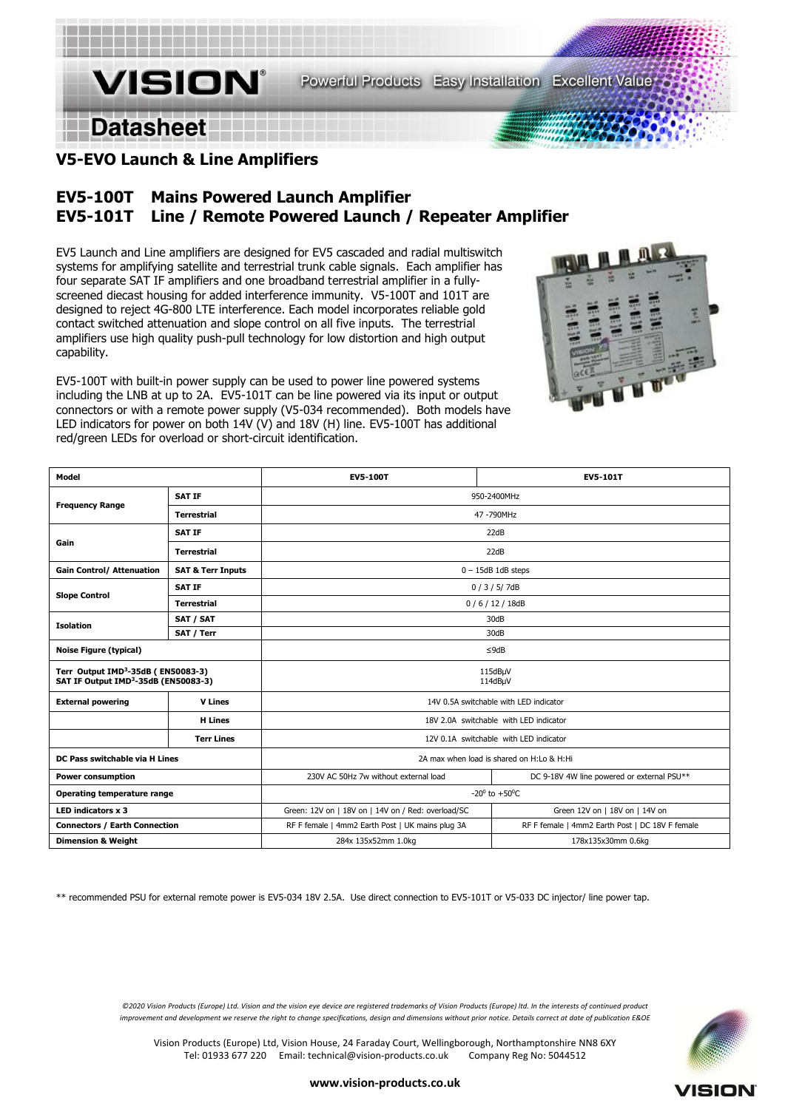**Datasheet** 

# **V5-EVO Launch & Line Amplifiers**

**VISION®** 

# **EV5-100T Mains Powered Launch Amplifier EV5-101T Line / Remote Powered Launch / Repeater Amplifier**

EV5 Launch and Line amplifiers are designed for EV5 cascaded and radial multiswitch systems for amplifying satellite and terrestrial trunk cable signals. Each amplifier has four separate SAT IF amplifiers and one broadband terrestrial amplifier in a fullyscreened diecast housing for added interference immunity. V5-100T and 101T are designed to reject 4G-800 LTE interference. Each model incorporates reliable gold contact switched attenuation and slope control on all five inputs. The terrestrial amplifiers use high quality push-pull technology for low distortion and high output capability.

EV5-100T with built-in power supply can be used to power line powered systems including the LNB at up to 2A. EV5-101T can be line powered via its input or output connectors or with a remote power supply (V5-034 recommended). Both models have LED indicators for power on both 14V (V) and 18V (H) line. EV5-100T has additional red/green LEDs for overload or short-circuit identification.

| Model                                                                                              |                              | <b>EV5-100T</b><br><b>EV5-101T</b>                 |                                                 |  |  |  |
|----------------------------------------------------------------------------------------------------|------------------------------|----------------------------------------------------|-------------------------------------------------|--|--|--|
|                                                                                                    | <b>SAT IF</b>                | 950-2400MHz                                        |                                                 |  |  |  |
| <b>Frequency Range</b>                                                                             | <b>Terrestrial</b>           | 47-790MHz                                          |                                                 |  |  |  |
|                                                                                                    | <b>SAT IF</b>                | 22dB                                               |                                                 |  |  |  |
| Gain                                                                                               | <b>Terrestrial</b>           | 22dB                                               |                                                 |  |  |  |
| <b>Gain Control/ Attenuation</b>                                                                   | <b>SAT &amp; Terr Inputs</b> | $0 - 15$ dB 1dB steps                              |                                                 |  |  |  |
|                                                                                                    | <b>SAT IF</b>                | 0/3/5/7dB                                          |                                                 |  |  |  |
| <b>Slope Control</b>                                                                               | <b>Terrestrial</b>           | 0/6/12/18dB                                        |                                                 |  |  |  |
| <b>Isolation</b>                                                                                   | SAT / SAT                    | 30dB                                               |                                                 |  |  |  |
|                                                                                                    | SAT / Terr                   | 30dB                                               |                                                 |  |  |  |
| <b>Noise Figure (typical)</b>                                                                      |                              | $\leq$ 9dB                                         |                                                 |  |  |  |
| Terr Output IMD <sup>3</sup> -35dB (EN50083-3)<br>SAT IF Output IMD <sup>3</sup> -35dB (EN50083-3) |                              | 115dBµV<br>114dBµV                                 |                                                 |  |  |  |
| <b>External powering</b>                                                                           | <b>V</b> Lines               | 14V 0.5A switchable with LED indicator             |                                                 |  |  |  |
|                                                                                                    | <b>H</b> Lines               | 18V 2.0A switchable with LED indicator             |                                                 |  |  |  |
|                                                                                                    | <b>Terr Lines</b>            | 12V 0.1A switchable with LED indicator             |                                                 |  |  |  |
| DC Pass switchable via H Lines                                                                     |                              | 2A max when load is shared on H:Lo & H:Hi          |                                                 |  |  |  |
| <b>Power consumption</b>                                                                           |                              | 230V AC 50Hz 7w without external load              | DC 9-18V 4W line powered or external PSU**      |  |  |  |
| Operating temperature range                                                                        |                              | -20 $^{\circ}$ to +50 $^{\circ}$ C                 |                                                 |  |  |  |
| LED indicators x 3                                                                                 |                              | Green: 12V on   18V on   14V on / Red: overload/SC | Green 12V on   18V on   14V on                  |  |  |  |
| <b>Connectors / Earth Connection</b>                                                               |                              | RF F female   4mm2 Earth Post   UK mains plug 3A   | RF F female   4mm2 Earth Post   DC 18V F female |  |  |  |
| <b>Dimension &amp; Weight</b>                                                                      |                              | 284x 135x52mm 1.0kg                                | 178x135x30mm 0.6kg                              |  |  |  |

\*\* recommended PSU for external remote power is EV5-034 18V 2.5A. Use direct connection to EV5-101T or V5-033 DC injector/ line power tap.



*©2020 Vision Products (Europe) Ltd. Vision and the vision eye device are registered trademarks of Vision Products (Europe) ltd. In the interests of continued product improvement and development we reserve the right to change specifications, design and dimensions without prior notice. Details correct at date of publication E&OE*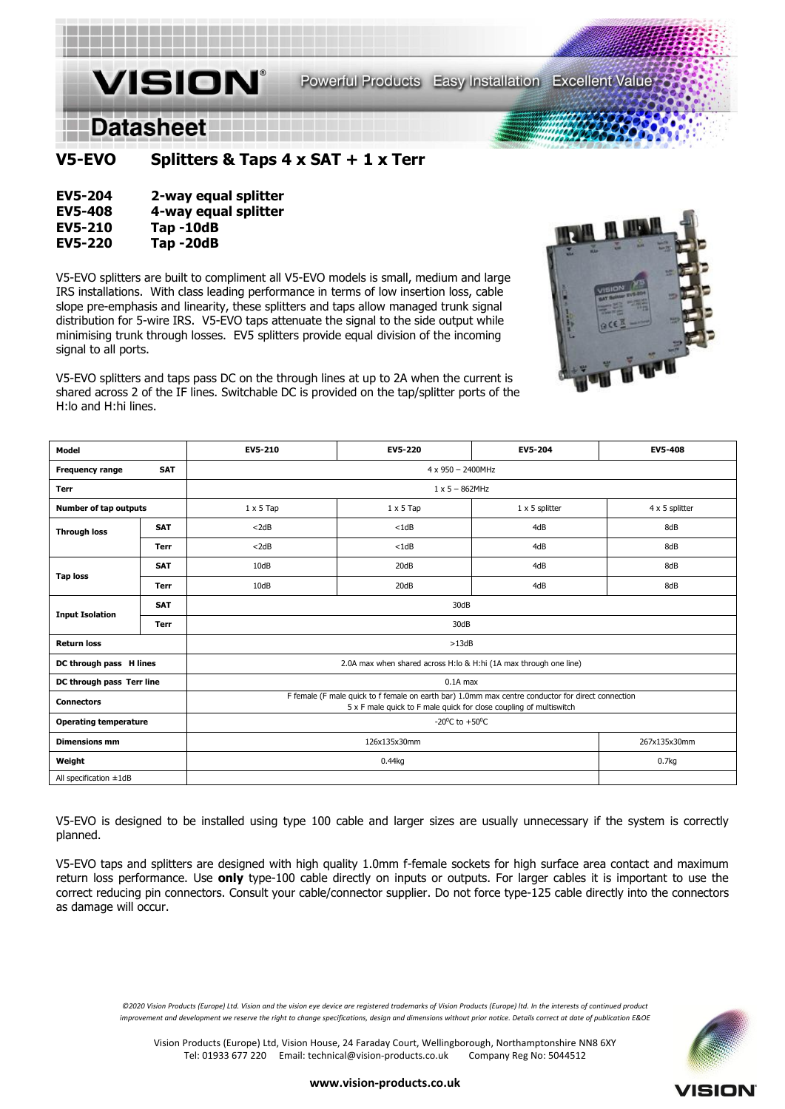

**V5-EVO Splitters & Taps 4 x SAT + 1 x Terr** 

| <b>EV5-204</b> | 2-way equal splitter |
|----------------|----------------------|
| <b>EV5-408</b> | 4-way equal splitter |
| <b>EV5-210</b> | Tap-10dB             |
| <b>EV5-220</b> | Tap-20dB             |

V5-EVO splitters are built to compliment all V5-EVO models is small, medium and large IRS installations. With class leading performance in terms of low insertion loss, cable slope pre-emphasis and linearity, these splitters and taps allow managed trunk signal distribution for 5-wire IRS. V5-EVO taps attenuate the signal to the side output while minimising trunk through losses. EV5 splitters provide equal division of the incoming signal to all ports.

V5-EVO splitters and taps pass DC on the through lines at up to 2A when the current is shared across 2 of the IF lines. Switchable DC is provided on the tap/splitter ports of the H:lo and H:hi lines.



| Model                        |             | EV5-210                                                                                                                                                                 | EV5-220                                   | EV5-204 | <b>EV5-408</b> |  |  |
|------------------------------|-------------|-------------------------------------------------------------------------------------------------------------------------------------------------------------------------|-------------------------------------------|---------|----------------|--|--|
| <b>Frequency range</b>       | <b>SAT</b>  | 4 x 950 - 2400MHz                                                                                                                                                       |                                           |         |                |  |  |
| <b>Terr</b>                  |             | $1 \times 5 - 862$ MHz                                                                                                                                                  |                                           |         |                |  |  |
| Number of tap outputs        |             | $1 \times 5$ Tap                                                                                                                                                        | $1 \times 5$ splitter<br>$1 \times 5$ Tap |         | 4 x 5 splitter |  |  |
| <b>Through loss</b>          | <b>SAT</b>  | $<$ 2dB                                                                                                                                                                 | $<$ 1dB                                   | 4dB     | 8dB            |  |  |
|                              | <b>Terr</b> | $<$ 2dB                                                                                                                                                                 | $<$ 1dB                                   | 4dB     | 8dB            |  |  |
| <b>Tap loss</b>              | <b>SAT</b>  | 10dB                                                                                                                                                                    | 20dB                                      | 4dB     | 8dB            |  |  |
|                              | Terr        | 10dB                                                                                                                                                                    | 20dB                                      | 4dB     | 8dB            |  |  |
|                              | <b>SAT</b>  | 30dB                                                                                                                                                                    |                                           |         |                |  |  |
| <b>Input Isolation</b>       | <b>Terr</b> | 30dB                                                                                                                                                                    |                                           |         |                |  |  |
| <b>Return loss</b>           |             | >13dB                                                                                                                                                                   |                                           |         |                |  |  |
| DC through pass H lines      |             | 2.0A max when shared across H:lo & H:hi (1A max through one line)                                                                                                       |                                           |         |                |  |  |
| DC through pass Terr line    |             | $0.1A$ max                                                                                                                                                              |                                           |         |                |  |  |
| <b>Connectors</b>            |             | F female (F male quick to f female on earth bar) 1.0mm max centre conductor for direct connection<br>5 x F male quick to F male quick for close coupling of multiswitch |                                           |         |                |  |  |
| <b>Operating temperature</b> |             | -20 <sup>°</sup> C to +50 <sup>°</sup> C                                                                                                                                |                                           |         |                |  |  |
| <b>Dimensions mm</b>         |             | 126x135x30mm                                                                                                                                                            |                                           |         | 267x135x30mm   |  |  |
| Weight                       |             | 0.44kg                                                                                                                                                                  |                                           |         | 0.7kg          |  |  |
| All specification ±1dB       |             |                                                                                                                                                                         |                                           |         |                |  |  |

V5-EVO is designed to be installed using type 100 cable and larger sizes are usually unnecessary if the system is correctly planned.

V5-EVO taps and splitters are designed with high quality 1.0mm f-female sockets for high surface area contact and maximum return loss performance. Use **only** type-100 cable directly on inputs or outputs. For larger cables it is important to use the correct reducing pin connectors. Consult your cable/connector supplier. Do not force type-125 cable directly into the connectors as damage will occur.

*©2020 Vision Products (Europe) Ltd. Vision and the vision eye device are registered trademarks of Vision Products (Europe) ltd. In the interests of continued product improvement and development we reserve the right to change specifications, design and dimensions without prior notice. Details correct at date of publication E&OE*

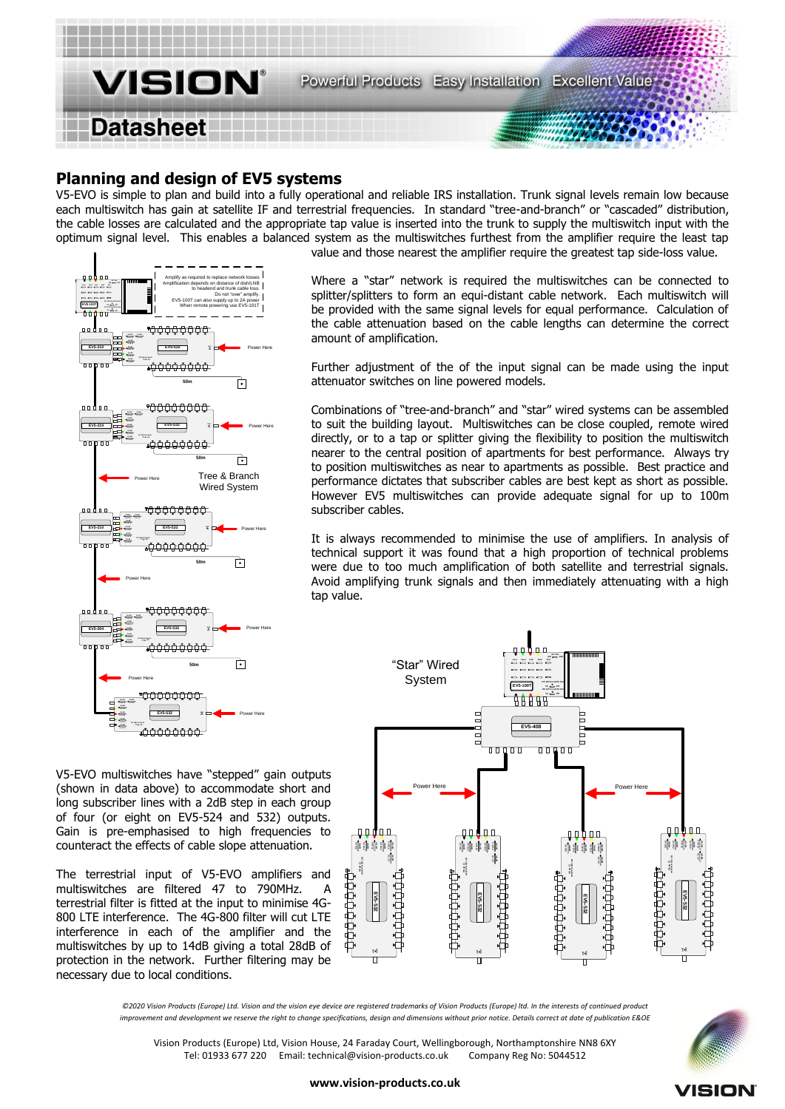

## **Planning and design of EV5 systems**

V5-EVO is simple to plan and build into a fully operational and reliable IRS installation. Trunk signal levels remain low because each multiswitch has gain at satellite IF and terrestrial frequencies. In standard "tree-and-branch" or "cascaded" distribution, the cable losses are calculated and the appropriate tap value is inserted into the trunk to supply the multiswitch input with the optimum signal level. This enables a balanced system as the multiswitches furthest from the amplifier require the least tap value and those nearest the amplifier require the greatest tap side-loss value.



Where a "star" network is required the multiswitches can be connected to splitter/splitters to form an equi-distant cable network. Each multiswitch will be provided with the same signal levels for equal performance. Calculation of the cable attenuation based on the cable lengths can determine the correct amount of amplification.

Further adjustment of the of the input signal can be made using the input attenuator switches on line powered models.

Combinations of "tree-and-branch" and "star" wired systems can be assembled to suit the building layout. Multiswitches can be close coupled, remote wired directly, or to a tap or splitter giving the flexibility to position the multiswitch nearer to the central position of apartments for best performance. Always try to position multiswitches as near to apartments as possible. Best practice and performance dictates that subscriber cables are best kept as short as possible. However EV5 multiswitches can provide adequate signal for up to 100m subscriber cables.

It is always recommended to minimise the use of amplifiers. In analysis of technical support it was found that a high proportion of technical problems were due to too much amplification of both satellite and terrestrial signals. Avoid amplifying trunk signals and then immediately attenuating with a high tap value.

V5-EVO multiswitches have "stepped" gain outputs (shown in data above) to accommodate short and long subscriber lines with a 2dB step in each group of four (or eight on EV5-524 and 532) outputs. Gain is pre-emphasised to high frequencies to counteract the effects of cable slope attenuation.

The terrestrial input of V5-EVO amplifiers and multiswitches are filtered 47 to  $790$ MHz. terrestrial filter is fitted at the input to minimise 4G-800 LTE interference. The 4G-800 filter will cut LTE interference in each of the amplifier and the multiswitches by up to 14dB giving a total 28dB of protection in the network. Further filtering may be necessary due to local conditions.



*©2020 Vision Products (Europe) Ltd. Vision and the vision eye device are registered trademarks of Vision Products (Europe) ltd. In the interests of continued product improvement and development we reserve the right to change specifications, design and dimensions without prior notice. Details correct at date of publication E&OE*

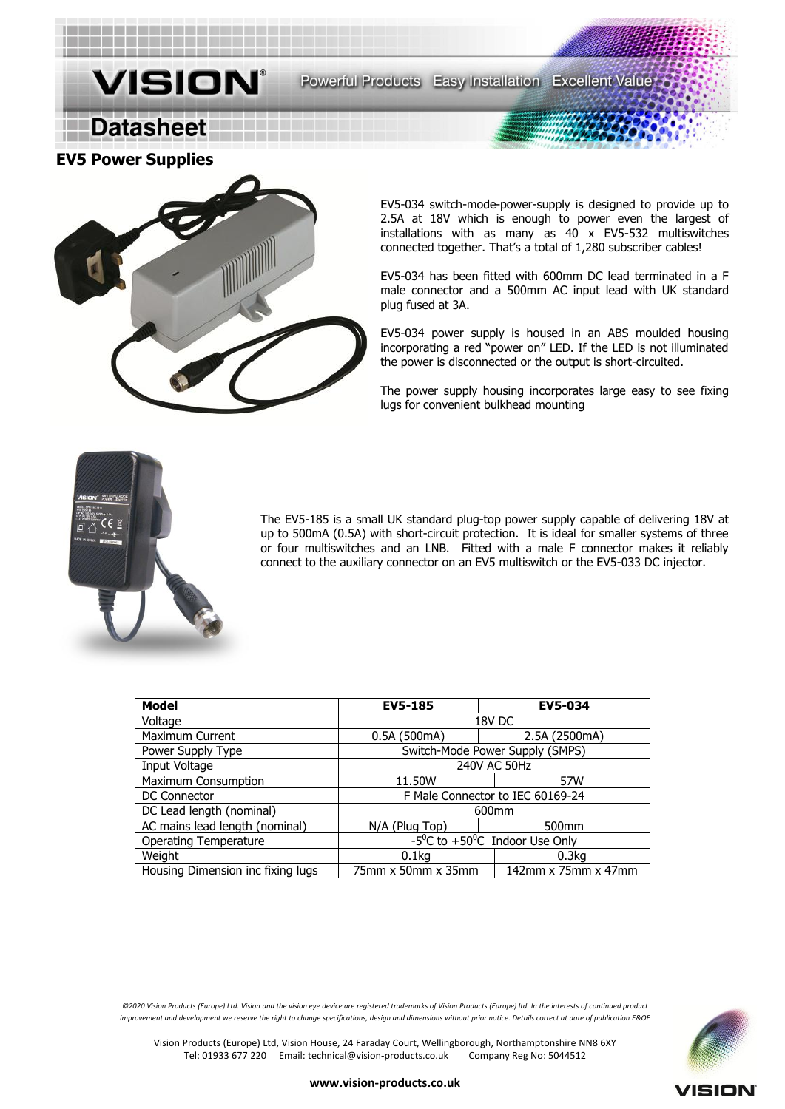**EV5 Power Supplies** 

**Datasheet** 



. . . . . . . . . . . . . . . . .

**VISION®** 

EV5-034 switch-mode-power-supply is designed to provide up to 2.5A at 18V which is enough to power even the largest of installations with as many as 40 x EV5-532 multiswitches connected together. That's a total of 1,280 subscriber cables!

EV5-034 has been fitted with 600mm DC lead terminated in a F male connector and a 500mm AC input lead with UK standard plug fused at 3A.

EV5-034 power supply is housed in an ABS moulded housing incorporating a red "power on" LED. If the LED is not illuminated the power is disconnected or the output is short-circuited.

The power supply housing incorporates large easy to see fixing lugs for convenient bulkhead mounting



The EV5-185 is a small UK standard plug-top power supply capable of delivering 18V at up to 500mA (0.5A) with short-circuit protection. It is ideal for smaller systems of three or four multiswitches and an LNB. Fitted with a male F connector makes it reliably connect to the auxiliary connector on an EV5 multiswitch or the EV5-033 DC injector.

| <b>Model</b>                      | <b>EV5-185</b>                                         | <b>EV5-034</b>    |  |
|-----------------------------------|--------------------------------------------------------|-------------------|--|
| Voltage                           | 18V DC                                                 |                   |  |
| Maximum Current                   | 0.5A (500mA)                                           | 2.5A (2500mA)     |  |
| Power Supply Type                 | Switch-Mode Power Supply (SMPS)                        |                   |  |
| Input Voltage                     | 240V AC 50Hz                                           |                   |  |
| <b>Maximum Consumption</b>        | 11.50W                                                 | 57W               |  |
| DC Connector                      | F Male Connector to IEC 60169-24                       |                   |  |
| DC Lead length (nominal)          | 600 <sub>mm</sub>                                      |                   |  |
| AC mains lead length (nominal)    | N/A (Plug Top)                                         | 500 <sub>mm</sub> |  |
| <b>Operating Temperature</b>      | $-5^0C$ to $+50^0C$ Indoor Use Only                    |                   |  |
| Weight                            | 0.1 <sub>kq</sub>                                      | 0.3 <sub>kq</sub> |  |
| Housing Dimension inc fixing lugs | 142 $mm \times 75mm \times 47mm$<br>75mm x 50mm x 35mm |                   |  |

*©2020 Vision Products (Europe) Ltd. Vision and the vision eye device are registered trademarks of Vision Products (Europe) ltd. In the interests of continued product improvement and development we reserve the right to change specifications, design and dimensions without prior notice. Details correct at date of publication E&OE*

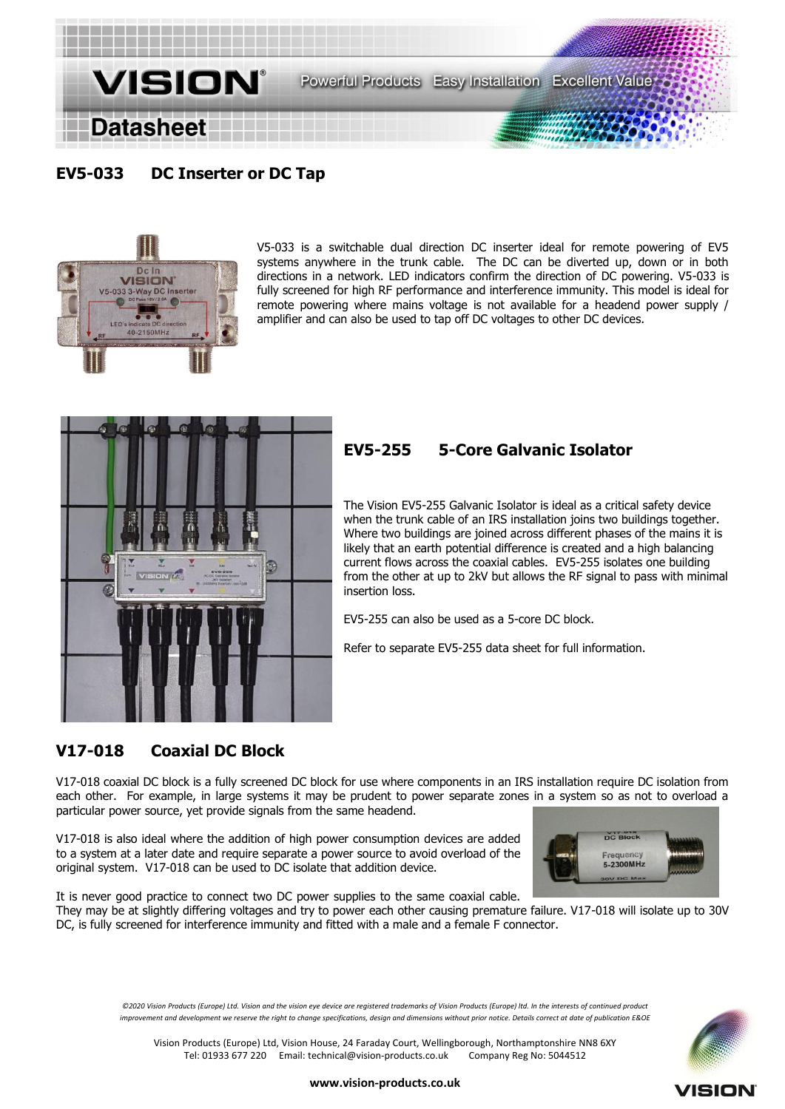

# **EV5-033 DC Inserter or DC Tap**



V5-033 is a switchable dual direction DC inserter ideal for remote powering of EV5 systems anywhere in the trunk cable. The DC can be diverted up, down or in both directions in a network. LED indicators confirm the direction of DC powering. V5-033 is fully screened for high RF performance and interference immunity. This model is ideal for remote powering where mains voltage is not available for a headend power supply / amplifier and can also be used to tap off DC voltages to other DC devices.



# **EV5-255 5-Core Galvanic Isolator**

The Vision EV5-255 Galvanic Isolator is ideal as a critical safety device when the trunk cable of an IRS installation joins two buildings together. Where two buildings are joined across different phases of the mains it is likely that an earth potential difference is created and a high balancing current flows across the coaxial cables. EV5-255 isolates one building from the other at up to 2kV but allows the RF signal to pass with minimal insertion loss.

EV5-255 can also be used as a 5-core DC block.

Refer to separate EV5-255 data sheet for full information.

# **V17-018 Coaxial DC Block**

V17-018 coaxial DC block is a fully screened DC block for use where components in an IRS installation require DC isolation from each other. For example, in large systems it may be prudent to power separate zones in a system so as not to overload a particular power source, yet provide signals from the same headend.

V17-018 is also ideal where the addition of high power consumption devices are added to a system at a later date and require separate a power source to avoid overload of the original system. V17-018 can be used to DC isolate that addition device.



It is never good practice to connect two DC power supplies to the same coaxial cable.

They may be at slightly differing voltages and try to power each other causing premature failure. V17-018 will isolate up to 30V DC, is fully screened for interference immunity and fitted with a male and a female F connector.

*©2020 Vision Products (Europe) Ltd. Vision and the vision eye device are registered trademarks of Vision Products (Europe) ltd. In the interests of continued product improvement and development we reserve the right to change specifications, design and dimensions without prior notice. Details correct at date of publication E&OE*